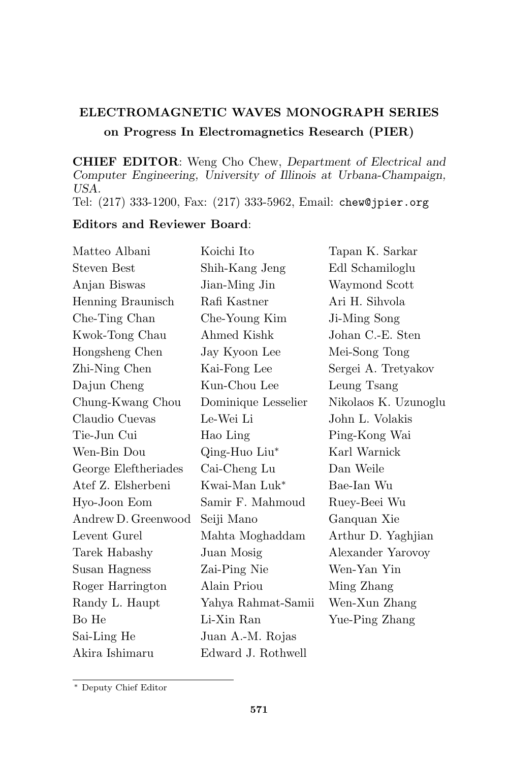## ELECTROMAGNETIC WAVES MONOGRAPH SERIES on Progress In Electromagnetics Research (PIER)

CHIEF EDITOR: Weng Cho Chew, Department of Electrical and Computer Engineering, University of Illinois at Urbana-Champaign, USA.

Tel: (217) 333-1200, Fax: (217) 333-5962, Email: chew@jpier.org

## Editors and Reviewer Board:

| Matteo Albani        | Koichi Ito                | Tapan K. Sarkar      |
|----------------------|---------------------------|----------------------|
| Steven Best          | Shih-Kang Jeng            | Edl Schamiloglu      |
| Anjan Biswas         | Jian-Ming Jin             | Waymond Scott        |
| Henning Braunisch    | Rafi Kastner              | Ari H. Sihvola       |
| Che-Ting Chan        | Che-Young Kim             | Ji-Ming Song         |
| Kwok-Tong Chau       | Ahmed Kishk               | Johan C.-E. Sten     |
| Hongsheng Chen       | Jay Kyoon Lee             | Mei-Song Tong        |
| Zhi-Ning Chen        | Kai-Fong Lee              | Sergei A. Tretyakov  |
| Dajun Cheng          | Kun-Chou Lee              | Leung Tsang          |
| Chung-Kwang Chou     | Dominique Lesselier       | Nikolaos K. Uzunoglu |
| Claudio Cuevas       | Le-Wei Li                 | John L. Volakis      |
| Tie-Jun Cui          | Hao Ling                  | Ping-Kong Wai        |
| Wen-Bin Dou          | Qing-Huo Liu*             | Karl Warnick         |
| George Eleftheriades | Cai-Cheng Lu              | Dan Weile            |
| Atef Z. Elsherbeni   | Kwai-Man Luk <sup>*</sup> | Bae-Ian Wu           |
| Hyo-Joon Eom         | Samir F. Mahmoud          | Ruey-Beei Wu         |
| Andrew D. Greenwood  | Seiji Mano                | Ganquan Xie          |
| Levent Gurel         | Mahta Moghaddam           | Arthur D. Yaghjian   |
| Tarek Habashy        | Juan Mosig                | Alexander Yarovoy    |
| Susan Hagness        | Zai-Ping Nie              | Wen-Yan Yin          |
| Roger Harrington     | Alain Priou               | Ming Zhang           |
| Randy L. Haupt       | Yahya Rahmat-Samii        | Wen-Xun Zhang        |
| Bo He                | Li-Xin Ran                | Yue-Ping Zhang       |
| Sai-Ling He          | Juan A.-M. Rojas          |                      |
| Akira Ishimaru       | Edward J. Rothwell        |                      |

<sup>∗</sup> Deputy Chief Editor